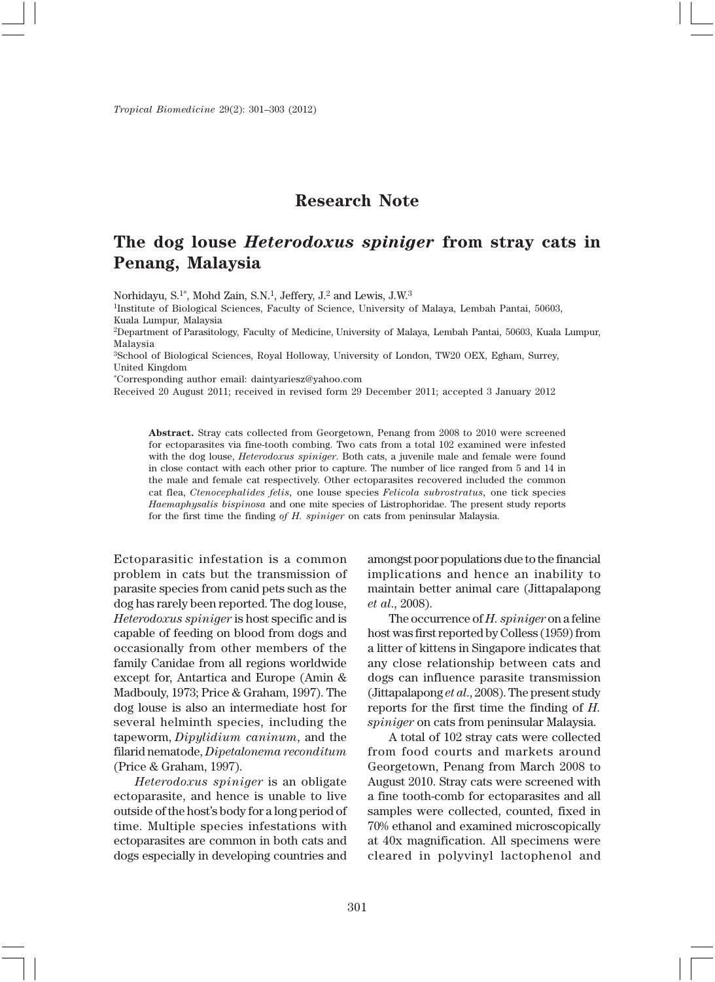## **Research Note**

## **The dog louse** *Heterodoxus spiniger* **from stray cats in Penang, Malaysia**

Norhidayu, S.1\*, Mohd Zain, S.N.1, Jeffery, J.2 and Lewis, J.W.3

<sup>1</sup>Institute of Biological Sciences, Faculty of Science, University of Malaya, Lembah Pantai, 50603, Kuala Lumpur, Malaysia

2Department of Parasitology, Faculty of Medicine, University of Malaya, Lembah Pantai, 50603, Kuala Lumpur, Malaysia

3School of Biological Sciences, Royal Holloway, University of London, TW20 OEX, Egham, Surrey, United Kingdom

\*Corresponding author email: daintyariesz@yahoo.com

Received 20 August 2011; received in revised form 29 December 2011; accepted 3 January 2012

**Abstract.** Stray cats collected from Georgetown, Penang from 2008 to 2010 were screened for ectoparasites via fine-tooth combing. Two cats from a total 102 examined were infested with the dog louse, *Heterodoxus spiniger*. Both cats, a juvenile male and female were found in close contact with each other prior to capture. The number of lice ranged from 5 and 14 in the male and female cat respectively. Other ectoparasites recovered included the common cat flea, *Ctenocephalides felis,* one louse species *Felicola subrostratus,* one tick species *Haemaphysalis bispinosa* and one mite species of Listrophoridae. The present study reports for the first time the finding *of H. spiniger* on cats from peninsular Malaysia.

Ectoparasitic infestation is a common problem in cats but the transmission of parasite species from canid pets such as the dog has rarely been reported. The dog louse, *Heterodoxus spiniger* is host specific and is capable of feeding on blood from dogs and occasionally from other members of the family Canidae from all regions worldwide except for, Antartica and Europe (Amin & Madbouly, 1973; Price & Graham, 1997). The dog louse is also an intermediate host for several helminth species, including the tapeworm, *Dipylidium caninum*, and the filarid nematode, *Dipetalonema reconditum* (Price & Graham, 1997).

*Heterodoxus spiniger* is an obligate ectoparasite, and hence is unable to live outside of the host's body for a long period of time. Multiple species infestations with ectoparasites are common in both cats and dogs especially in developing countries and amongst poor populations due to the financial implications and hence an inability to maintain better animal care (Jittapalapong *et al*., 2008).

The occurrence of *H. spiniger* on a feline host was first reported by Colless (1959) from a litter of kittens in Singapore indicates that any close relationship between cats and dogs can influence parasite transmission (Jittapalapong *et al*., 2008). The present study reports for the first time the finding of *H. spiniger* on cats from peninsular Malaysia.

A total of 102 stray cats were collected from food courts and markets around Georgetown, Penang from March 2008 to August 2010. Stray cats were screened with a fine tooth-comb for ectoparasites and all samples were collected, counted, fixed in 70% ethanol and examined microscopically at 40x magnification. All specimens were cleared in polyvinyl lactophenol and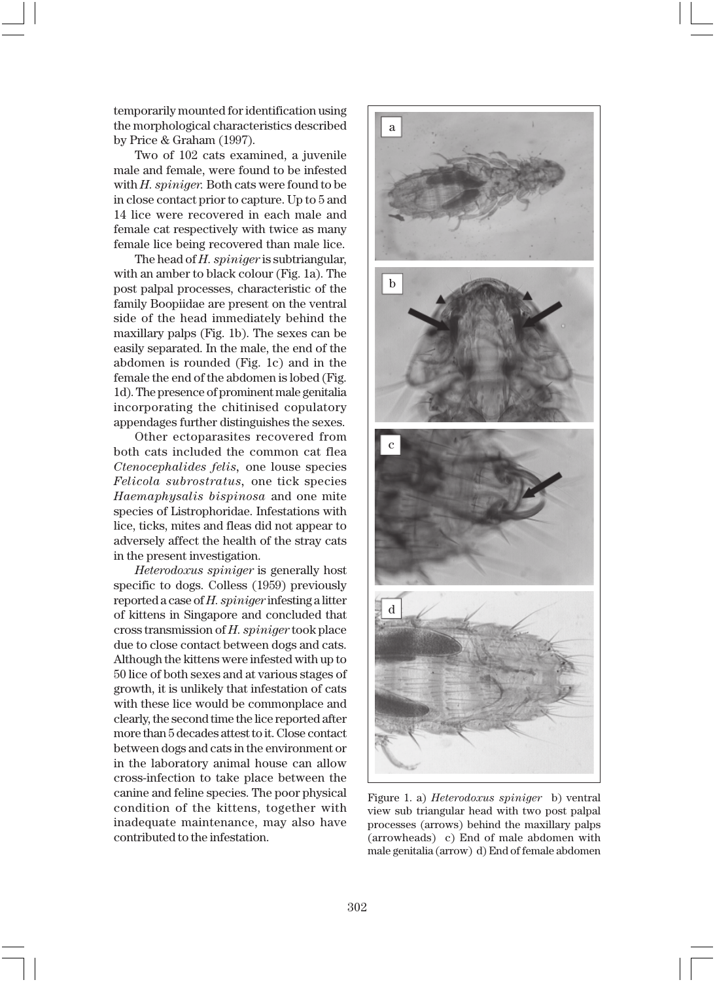temporarily mounted for identification using the morphological characteristics described by Price & Graham (1997).

Two of 102 cats examined, a juvenile male and female, were found to be infested with *H. spiniger.* Both cats were found to be in close contact prior to capture. Up to 5 and 14 lice were recovered in each male and female cat respectively with twice as many female lice being recovered than male lice.

The head of *H. spiniger* is subtriangular, with an amber to black colour (Fig. 1a). The post palpal processes, characteristic of the family Boopiidae are present on the ventral side of the head immediately behind the maxillary palps (Fig. 1b). The sexes can be easily separated. In the male, the end of the abdomen is rounded (Fig. 1c) and in the female the end of the abdomen is lobed (Fig. 1d). The presence of prominent male genitalia incorporating the chitinised copulatory appendages further distinguishes the sexes.

Other ectoparasites recovered from both cats included the common cat flea *Ctenocephalides felis,* one louse species *Felicola subrostratus,* one tick species *Haemaphysalis bispinosa* and one mite species of Listrophoridae. Infestations with lice, ticks, mites and fleas did not appear to adversely affect the health of the stray cats in the present investigation.

*Heterodoxus spiniger* is generally host specific to dogs. Colless (1959) previously reported a case of *H. spiniger* infesting a litter of kittens in Singapore and concluded that cross transmission of *H. spiniger* took place due to close contact between dogs and cats. Although the kittens were infested with up to 50 lice of both sexes and at various stages of growth, it is unlikely that infestation of cats with these lice would be commonplace and clearly, the second time the lice reported after more than 5 decades attest to it. Close contact between dogs and cats in the environment or in the laboratory animal house can allow cross-infection to take place between the canine and feline species. The poor physical condition of the kittens, together with inadequate maintenance, may also have contributed to the infestation.



Figure 1. a) *Heterodoxus spiniger* b) ventral view sub triangular head with two post palpal processes (arrows) behind the maxillary palps (arrowheads) c) End of male abdomen with male genitalia (arrow) d) End of female abdomen